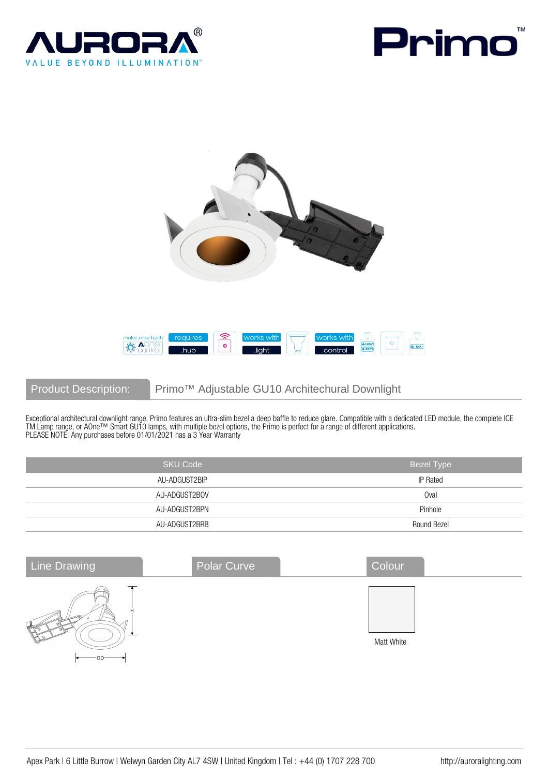





Product Description: Primo™ Adjustable GU10 Architechural Downlight

Exceptional architectural downlight range, Primo features an ultra-slim bezel a deep baffle to reduce glare. Compatible with a dedicated LED module, the complete ICE TM Lamp range, or AOne™ Smart GU10 lamps, with multiple bezel options, the Primo is perfect for a range of different applications. PLEASE NOTE: Any purchases before 01/01/2021 has a 3 Year Warranty

| <b>SKU Code</b> | <b>Bezel Type</b> |
|-----------------|-------------------|
| AU-ADGUST2BIP   | <b>IP Rated</b>   |
| AU-ADGUST2BOV   | Oval              |
| AU-ADGUST2BPN   | Pinhole           |
| AU-ADGUST2BRB   | Round Bezel       |

| <b>Line Drawing</b> | Polar Curve | Colour     |
|---------------------|-------------|------------|
| $\cap$ n $-$        |             | Matt White |